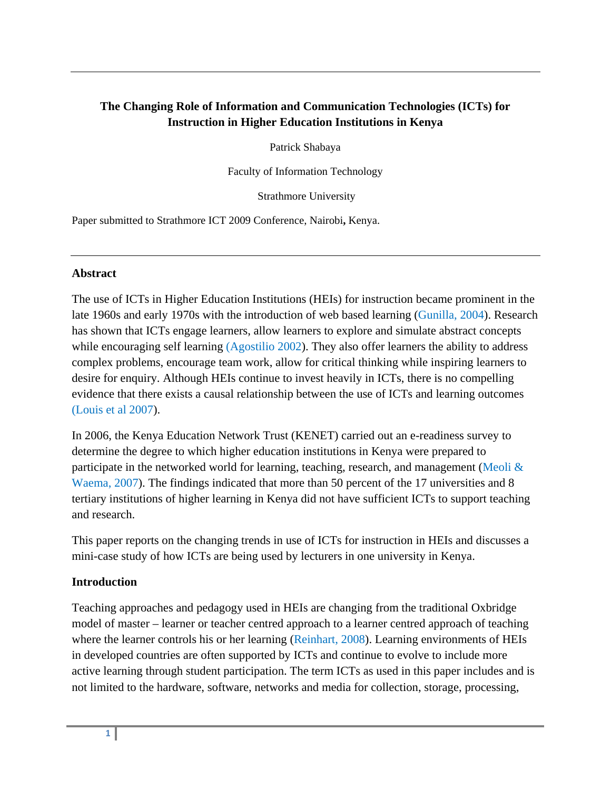# **The Changing Role of Information and Communication Technologies (ICTs) for Instruction in Higher Education Institutions in Kenya**

Patrick Shabaya

Faculty of Information Technology

Strathmore University

Paper submitted to Strathmore ICT 2009 Conference, Nairobi**,** Kenya.

### **Abstract**

The use of ICTs in Higher Education Institutions (HEIs) for instruction became prominent in the late 1960s and early 1970s with the introduction of web based learning (Gunilla, 2004). Research has shown that ICTs engage learners, allow learners to explore and simulate abstract concepts while encouraging self learning (Agostilio 2002). They also offer learners the ability to address complex problems, encourage team work, allow for critical thinking while inspiring learners to desire for enquiry. Although HEIs continue to invest heavily in ICTs, there is no compelling evidence that there exists a causal relationship between the use of ICTs and learning outcomes (Louis et al 2007).

In 2006, the Kenya Education Network Trust (KENET) carried out an e-readiness survey to determine the degree to which higher education institutions in Kenya were prepared to participate in the networked world for learning, teaching, research, and management (Meoli & Waema, 2007). The findings indicated that more than 50 percent of the 17 universities and 8 tertiary institutions of higher learning in Kenya did not have sufficient ICTs to support teaching and research.

This paper reports on the changing trends in use of ICTs for instruction in HEIs and discusses a mini-case study of how ICTs are being used by lecturers in one university in Kenya.

### **Introduction**

Teaching approaches and pedagogy used in HEIs are changing from the traditional Oxbridge model of master – learner or teacher centred approach to a learner centred approach of teaching where the learner controls his or her learning (Reinhart, 2008). Learning environments of HEIs in developed countries are often supported by ICTs and continue to evolve to include more active learning through student participation. The term ICTs as used in this paper includes and is not limited to the hardware, software, networks and media for collection, storage, processing,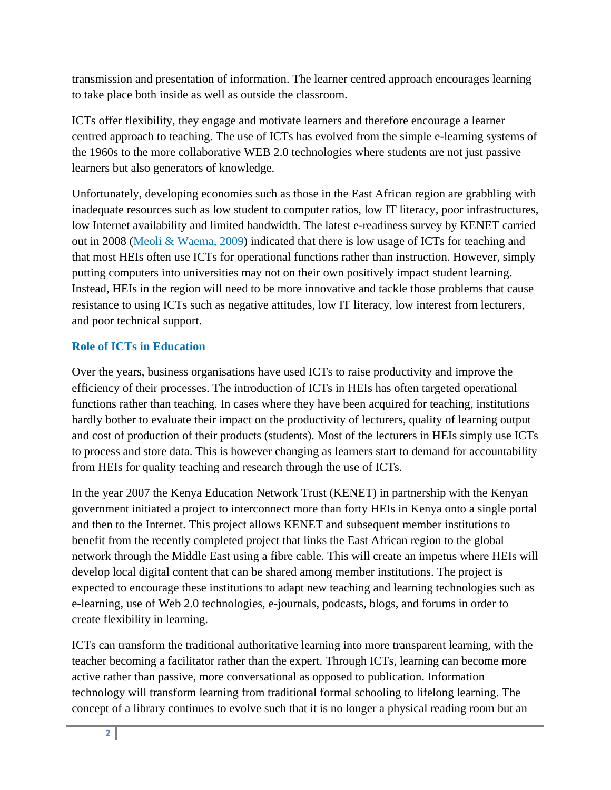transmission and presentation of information. The learner centred approach encourages learning to take place both inside as well as outside the classroom.

ICTs offer flexibility, they engage and motivate learners and therefore encourage a learner centred approach to teaching. The use of ICTs has evolved from the simple e-learning systems of the 1960s to the more collaborative WEB 2.0 technologies where students are not just passive learners but also generators of knowledge.

Unfortunately, developing economies such as those in the East African region are grabbling with inadequate resources such as low student to computer ratios, low IT literacy, poor infrastructures, low Internet availability and limited bandwidth. The latest e-readiness survey by KENET carried out in 2008 (Meoli & Waema, 2009) indicated that there is low usage of ICTs for teaching and that most HEIs often use ICTs for operational functions rather than instruction. However, simply putting computers into universities may not on their own positively impact student learning. Instead, HEIs in the region will need to be more innovative and tackle those problems that cause resistance to using ICTs such as negative attitudes, low IT literacy, low interest from lecturers, and poor technical support.

### **Role of ICTs in Education**

Over the years, business organisations have used ICTs to raise productivity and improve the efficiency of their processes. The introduction of ICTs in HEIs has often targeted operational functions rather than teaching. In cases where they have been acquired for teaching, institutions hardly bother to evaluate their impact on the productivity of lecturers, quality of learning output and cost of production of their products (students). Most of the lecturers in HEIs simply use ICTs to process and store data. This is however changing as learners start to demand for accountability from HEIs for quality teaching and research through the use of ICTs.

In the year 2007 the Kenya Education Network Trust (KENET) in partnership with the Kenyan government initiated a project to interconnect more than forty HEIs in Kenya onto a single portal and then to the Internet. This project allows KENET and subsequent member institutions to benefit from the recently completed project that links the East African region to the global network through the Middle East using a fibre cable. This will create an impetus where HEIs will develop local digital content that can be shared among member institutions. The project is expected to encourage these institutions to adapt new teaching and learning technologies such as e-learning, use of Web 2.0 technologies, e-journals, podcasts, blogs, and forums in order to create flexibility in learning.

ICTs can transform the traditional authoritative learning into more transparent learning, with the teacher becoming a facilitator rather than the expert. Through ICTs, learning can become more active rather than passive, more conversational as opposed to publication. Information technology will transform learning from traditional formal schooling to lifelong learning. The concept of a library continues to evolve such that it is no longer a physical reading room but an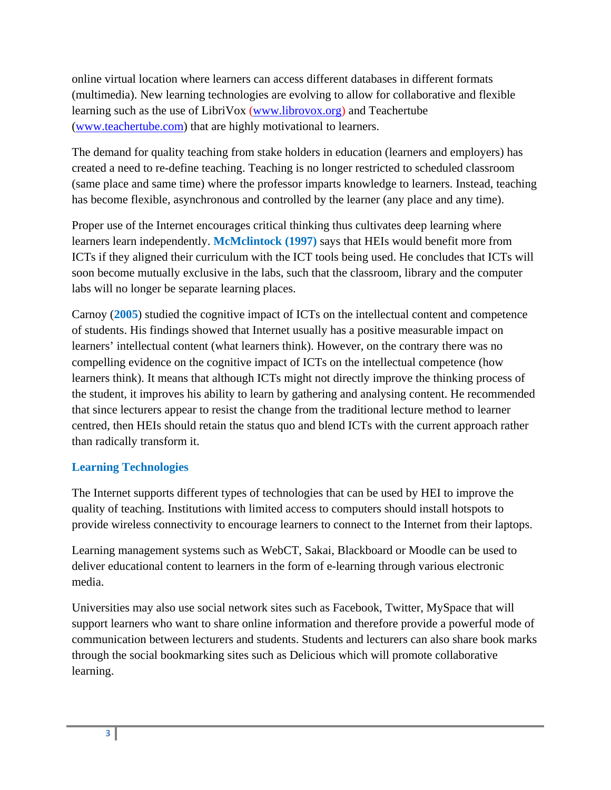online virtual location where learners can access different databases in different formats (multimedia). New learning technologies are evolving to allow for collaborative and flexible learning such as the use of LibriVox (www.librovox.org) and Teachertube (www.teachertube.com) that are highly motivational to learners.

The demand for quality teaching from stake holders in education (learners and employers) has created a need to re-define teaching. Teaching is no longer restricted to scheduled classroom (same place and same time) where the professor imparts knowledge to learners. Instead, teaching has become flexible, asynchronous and controlled by the learner (any place and any time).

Proper use of the Internet encourages critical thinking thus cultivates deep learning where learners learn independently. **McMclintock (1997)** says that HEIs would benefit more from ICTs if they aligned their curriculum with the ICT tools being used. He concludes that ICTs will soon become mutually exclusive in the labs, such that the classroom, library and the computer labs will no longer be separate learning places.

Carnoy (**2005**) studied the cognitive impact of ICTs on the intellectual content and competence of students. His findings showed that Internet usually has a positive measurable impact on learners' intellectual content (what learners think). However, on the contrary there was no compelling evidence on the cognitive impact of ICTs on the intellectual competence (how learners think). It means that although ICTs might not directly improve the thinking process of the student, it improves his ability to learn by gathering and analysing content. He recommended that since lecturers appear to resist the change from the traditional lecture method to learner centred, then HEIs should retain the status quo and blend ICTs with the current approach rather than radically transform it.

### **Learning Technologies**

The Internet supports different types of technologies that can be used by HEI to improve the quality of teaching. Institutions with limited access to computers should install hotspots to provide wireless connectivity to encourage learners to connect to the Internet from their laptops.

Learning management systems such as WebCT, Sakai, Blackboard or Moodle can be used to deliver educational content to learners in the form of e-learning through various electronic media.

Universities may also use social network sites such as Facebook, Twitter, MySpace that will support learners who want to share online information and therefore provide a powerful mode of communication between lecturers and students. Students and lecturers can also share book marks through the social bookmarking sites such as Delicious which will promote collaborative learning.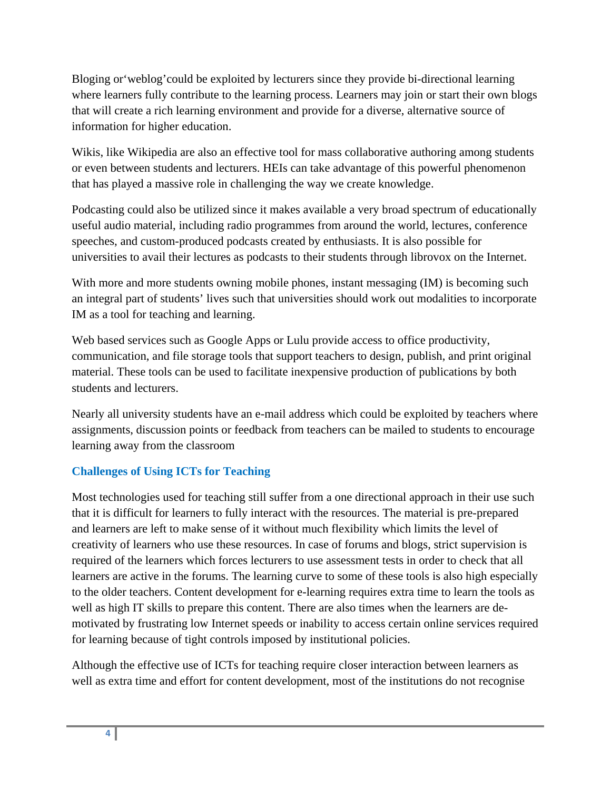Bloging or'weblog'could be exploited by lecturers since they provide bi-directional learning where learners fully contribute to the learning process. Learners may join or start their own blogs that will create a rich learning environment and provide for a diverse, alternative source of information for higher education.

Wikis, like Wikipedia are also an effective tool for mass collaborative authoring among students or even between students and lecturers. HEIs can take advantage of this powerful phenomenon that has played a massive role in challenging the way we create knowledge.

Podcasting could also be utilized since it makes available a very broad spectrum of educationally useful audio material, including radio programmes from around the world, lectures, conference speeches, and custom-produced podcasts created by enthusiasts. It is also possible for universities to avail their lectures as podcasts to their students through librovox on the Internet.

With more and more students owning mobile phones, instant messaging (IM) is becoming such an integral part of students' lives such that universities should work out modalities to incorporate IM as a tool for teaching and learning.

Web based services such as Google Apps or Lulu provide access to office productivity, communication, and file storage tools that support teachers to design, publish, and print original material. These tools can be used to facilitate inexpensive production of publications by both students and lecturers.

Nearly all university students have an e-mail address which could be exploited by teachers where assignments, discussion points or feedback from teachers can be mailed to students to encourage learning away from the classroom

# **Challenges of Using ICTs for Teaching**

Most technologies used for teaching still suffer from a one directional approach in their use such that it is difficult for learners to fully interact with the resources. The material is pre-prepared and learners are left to make sense of it without much flexibility which limits the level of creativity of learners who use these resources. In case of forums and blogs, strict supervision is required of the learners which forces lecturers to use assessment tests in order to check that all learners are active in the forums. The learning curve to some of these tools is also high especially to the older teachers. Content development for e-learning requires extra time to learn the tools as well as high IT skills to prepare this content. There are also times when the learners are demotivated by frustrating low Internet speeds or inability to access certain online services required for learning because of tight controls imposed by institutional policies.

Although the effective use of ICTs for teaching require closer interaction between learners as well as extra time and effort for content development, most of the institutions do not recognise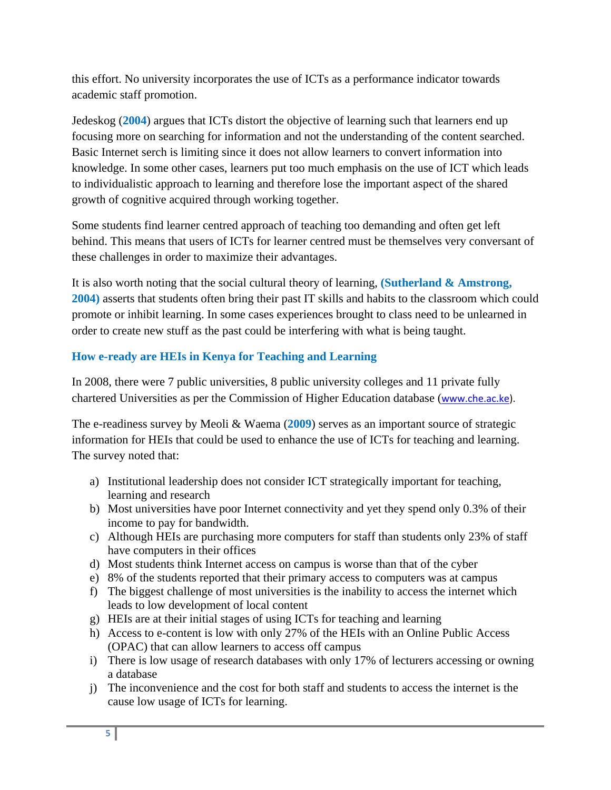this effort. No university incorporates the use of ICTs as a performance indicator towards academic staff promotion.

Jedeskog (**2004**) argues that ICTs distort the objective of learning such that learners end up focusing more on searching for information and not the understanding of the content searched. Basic Internet serch is limiting since it does not allow learners to convert information into knowledge. In some other cases, learners put too much emphasis on the use of ICT which leads to individualistic approach to learning and therefore lose the important aspect of the shared growth of cognitive acquired through working together.

Some students find learner centred approach of teaching too demanding and often get left behind. This means that users of ICTs for learner centred must be themselves very conversant of these challenges in order to maximize their advantages.

It is also worth noting that the social cultural theory of learning, **(Sutherland & Amstrong, 2004)** asserts that students often bring their past IT skills and habits to the classroom which could promote or inhibit learning. In some cases experiences brought to class need to be unlearned in order to create new stuff as the past could be interfering with what is being taught.

## **How e-ready are HEIs in Kenya for Teaching and Learning**

In 2008, there were 7 public universities, 8 public university colleges and 11 private fully chartered Universities as per the Commission of Higher Education database (www.che.ac.ke).

The e-readiness survey by Meoli & Waema (**2009**) serves as an important source of strategic information for HEIs that could be used to enhance the use of ICTs for teaching and learning. The survey noted that:

- a) Institutional leadership does not consider ICT strategically important for teaching, learning and research
- b) Most universities have poor Internet connectivity and yet they spend only 0.3% of their income to pay for bandwidth.
- c) Although HEIs are purchasing more computers for staff than students only 23% of staff have computers in their offices
- d) Most students think Internet access on campus is worse than that of the cyber
- e) 8% of the students reported that their primary access to computers was at campus
- f) The biggest challenge of most universities is the inability to access the internet which leads to low development of local content
- g) HEIs are at their initial stages of using ICTs for teaching and learning
- h) Access to e-content is low with only 27% of the HEIs with an Online Public Access (OPAC) that can allow learners to access off campus
- i) There is low usage of research databases with only 17% of lecturers accessing or owning a database
- j) The inconvenience and the cost for both staff and students to access the internet is the cause low usage of ICTs for learning.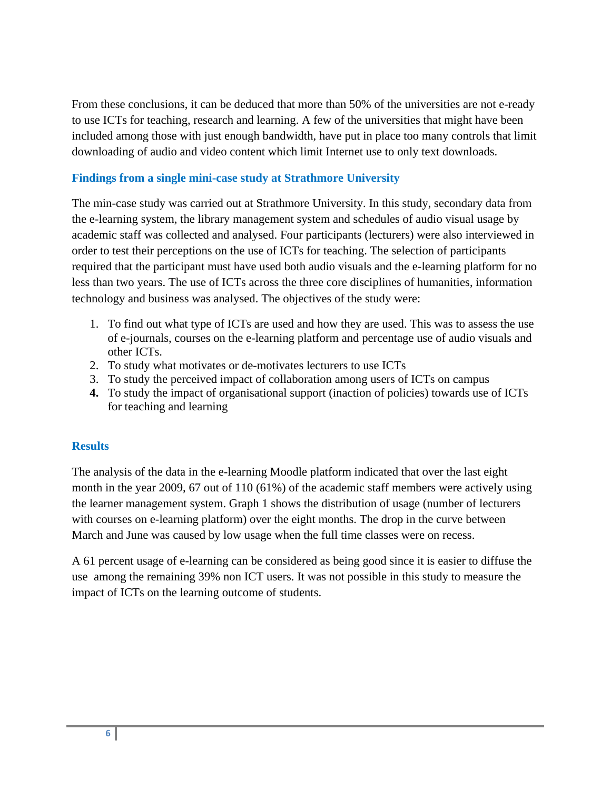From these conclusions, it can be deduced that more than 50% of the universities are not e-ready to use ICTs for teaching, research and learning. A few of the universities that might have been included among those with just enough bandwidth, have put in place too many controls that limit downloading of audio and video content which limit Internet use to only text downloads.

### **Findings from a single mini-case study at Strathmore University**

The min-case study was carried out at Strathmore University. In this study, secondary data from the e-learning system, the library management system and schedules of audio visual usage by academic staff was collected and analysed. Four participants (lecturers) were also interviewed in order to test their perceptions on the use of ICTs for teaching. The selection of participants required that the participant must have used both audio visuals and the e-learning platform for no less than two years. The use of ICTs across the three core disciplines of humanities, information technology and business was analysed. The objectives of the study were:

- 1. To find out what type of ICTs are used and how they are used. This was to assess the use of e-journals, courses on the e-learning platform and percentage use of audio visuals and other ICTs.
- 2. To study what motivates or de-motivates lecturers to use ICTs
- 3. To study the perceived impact of collaboration among users of ICTs on campus
- **4.** To study the impact of organisational support (inaction of policies) towards use of ICTs for teaching and learning

### **Results**

The analysis of the data in the e-learning Moodle platform indicated that over the last eight month in the year 2009, 67 out of 110 (61%) of the academic staff members were actively using the learner management system. Graph 1 shows the distribution of usage (number of lecturers with courses on e-learning platform) over the eight months. The drop in the curve between March and June was caused by low usage when the full time classes were on recess.

A 61 percent usage of e-learning can be considered as being good since it is easier to diffuse the use among the remaining 39% non ICT users. It was not possible in this study to measure the impact of ICTs on the learning outcome of students.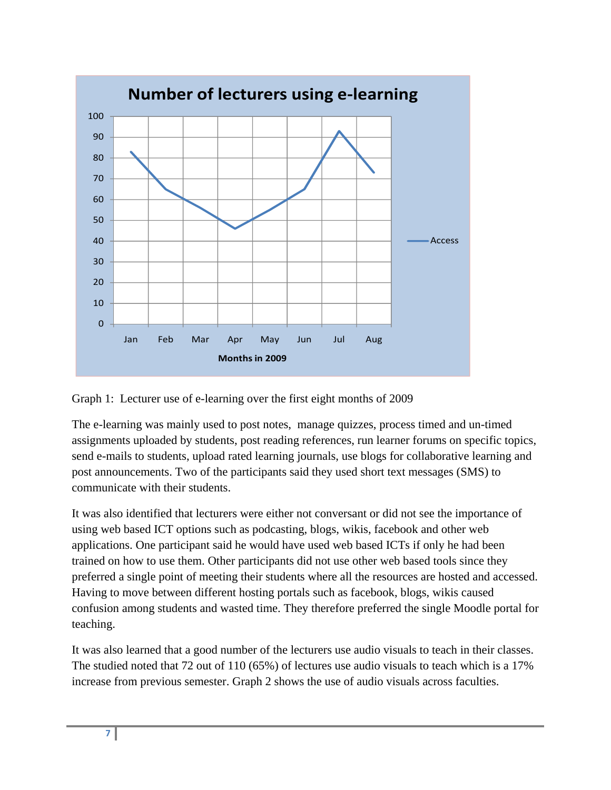

Graph 1: Lecturer use of e-learning over the first eight months of 2009

The e-learning was mainly used to post notes, manage quizzes, process timed and un-timed assignments uploaded by students, post reading references, run learner forums on specific topics, send e-mails to students, upload rated learning journals, use blogs for collaborative learning and post announcements. Two of the participants said they used short text messages (SMS) to communicate with their students.

It was also identified that lecturers were either not conversant or did not see the importance of using web based ICT options such as podcasting, blogs, wikis, facebook and other web applications. One participant said he would have used web based ICTs if only he had been trained on how to use them. Other participants did not use other web based tools since they preferred a single point of meeting their students where all the resources are hosted and accessed. Having to move between different hosting portals such as facebook, blogs, wikis caused confusion among students and wasted time. They therefore preferred the single Moodle portal for teaching.

It was also learned that a good number of the lecturers use audio visuals to teach in their classes. The studied noted that 72 out of 110 (65%) of lectures use audio visuals to teach which is a 17% increase from previous semester. Graph 2 shows the use of audio visuals across faculties.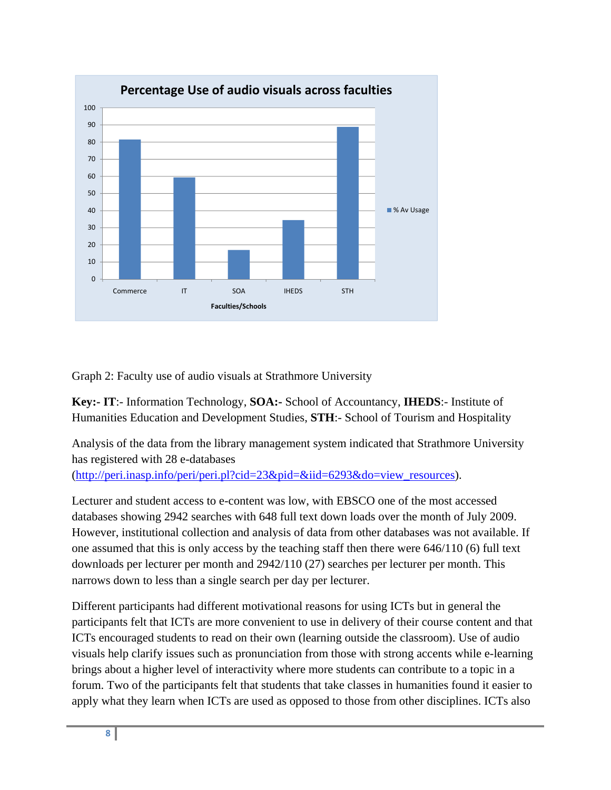

Graph 2: Faculty use of audio visuals at Strathmore University

**Key:- IT**:- Information Technology, **SOA:-** School of Accountancy, **IHEDS**:- Institute of Humanities Education and Development Studies, **STH**:- School of Tourism and Hospitality

Analysis of the data from the library management system indicated that Strathmore University has registered with 28 e-databases

(http://peri.inasp.info/peri/peri.pl?cid=23&pid=&iid=6293&do=view\_resources).

Lecturer and student access to e-content was low, with EBSCO one of the most accessed databases showing 2942 searches with 648 full text down loads over the month of July 2009. However, institutional collection and analysis of data from other databases was not available. If one assumed that this is only access by the teaching staff then there were 646/110 (6) full text downloads per lecturer per month and 2942/110 (27) searches per lecturer per month. This narrows down to less than a single search per day per lecturer.

Different participants had different motivational reasons for using ICTs but in general the participants felt that ICTs are more convenient to use in delivery of their course content and that ICTs encouraged students to read on their own (learning outside the classroom). Use of audio visuals help clarify issues such as pronunciation from those with strong accents while e-learning brings about a higher level of interactivity where more students can contribute to a topic in a forum. Two of the participants felt that students that take classes in humanities found it easier to apply what they learn when ICTs are used as opposed to those from other disciplines. ICTs also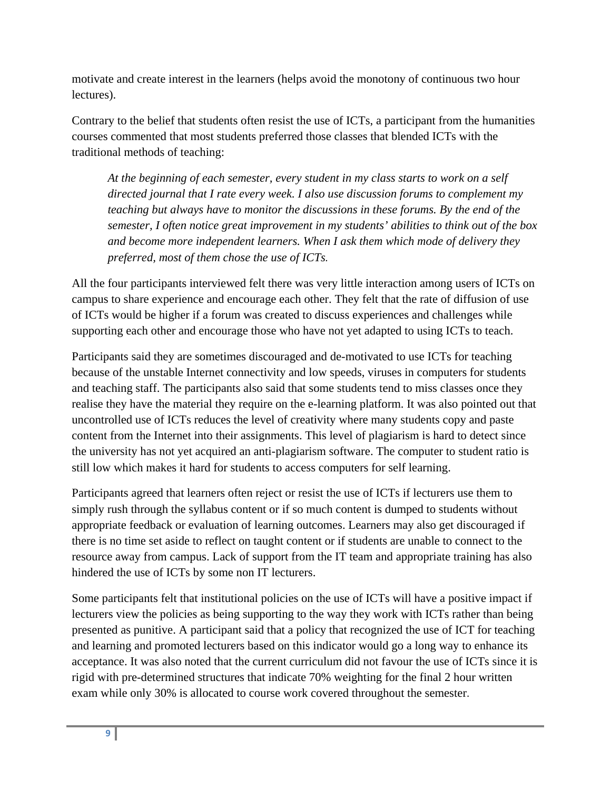motivate and create interest in the learners (helps avoid the monotony of continuous two hour lectures).

Contrary to the belief that students often resist the use of ICTs, a participant from the humanities courses commented that most students preferred those classes that blended ICTs with the traditional methods of teaching:

*At the beginning of each semester, every student in my class starts to work on a self directed journal that I rate every week. I also use discussion forums to complement my teaching but always have to monitor the discussions in these forums. By the end of the semester, I often notice great improvement in my students' abilities to think out of the box and become more independent learners. When I ask them which mode of delivery they preferred, most of them chose the use of ICTs.*

All the four participants interviewed felt there was very little interaction among users of ICTs on campus to share experience and encourage each other. They felt that the rate of diffusion of use of ICTs would be higher if a forum was created to discuss experiences and challenges while supporting each other and encourage those who have not yet adapted to using ICTs to teach.

Participants said they are sometimes discouraged and de-motivated to use ICTs for teaching because of the unstable Internet connectivity and low speeds, viruses in computers for students and teaching staff. The participants also said that some students tend to miss classes once they realise they have the material they require on the e-learning platform. It was also pointed out that uncontrolled use of ICTs reduces the level of creativity where many students copy and paste content from the Internet into their assignments. This level of plagiarism is hard to detect since the university has not yet acquired an anti-plagiarism software. The computer to student ratio is still low which makes it hard for students to access computers for self learning.

Participants agreed that learners often reject or resist the use of ICTs if lecturers use them to simply rush through the syllabus content or if so much content is dumped to students without appropriate feedback or evaluation of learning outcomes. Learners may also get discouraged if there is no time set aside to reflect on taught content or if students are unable to connect to the resource away from campus. Lack of support from the IT team and appropriate training has also hindered the use of ICTs by some non IT lecturers.

Some participants felt that institutional policies on the use of ICTs will have a positive impact if lecturers view the policies as being supporting to the way they work with ICTs rather than being presented as punitive. A participant said that a policy that recognized the use of ICT for teaching and learning and promoted lecturers based on this indicator would go a long way to enhance its acceptance. It was also noted that the current curriculum did not favour the use of ICTs since it is rigid with pre-determined structures that indicate 70% weighting for the final 2 hour written exam while only 30% is allocated to course work covered throughout the semester.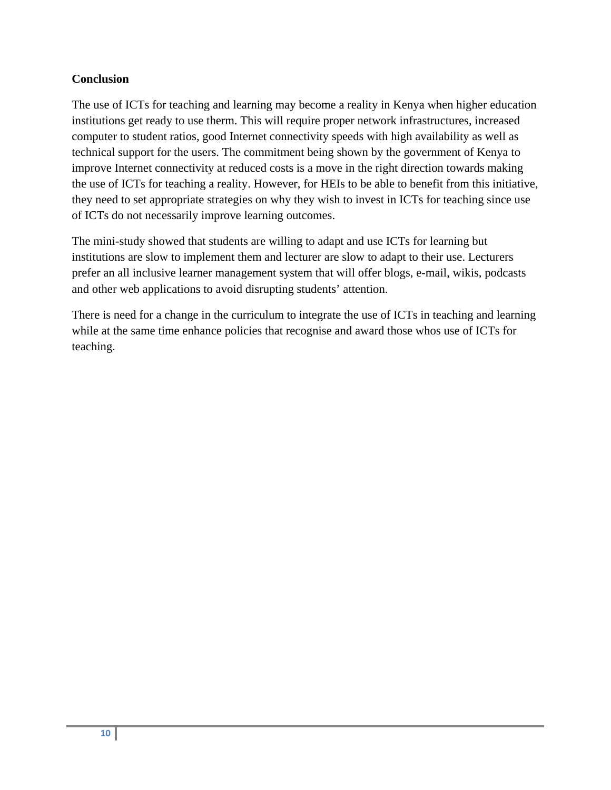### **Conclusion**

The use of ICTs for teaching and learning may become a reality in Kenya when higher education institutions get ready to use therm. This will require proper network infrastructures, increased computer to student ratios, good Internet connectivity speeds with high availability as well as technical support for the users. The commitment being shown by the government of Kenya to improve Internet connectivity at reduced costs is a move in the right direction towards making the use of ICTs for teaching a reality. However, for HEIs to be able to benefit from this initiative, they need to set appropriate strategies on why they wish to invest in ICTs for teaching since use of ICTs do not necessarily improve learning outcomes.

The mini-study showed that students are willing to adapt and use ICTs for learning but institutions are slow to implement them and lecturer are slow to adapt to their use. Lecturers prefer an all inclusive learner management system that will offer blogs, e-mail, wikis, podcasts and other web applications to avoid disrupting students' attention.

There is need for a change in the curriculum to integrate the use of ICTs in teaching and learning while at the same time enhance policies that recognise and award those whos use of ICTs for teaching.